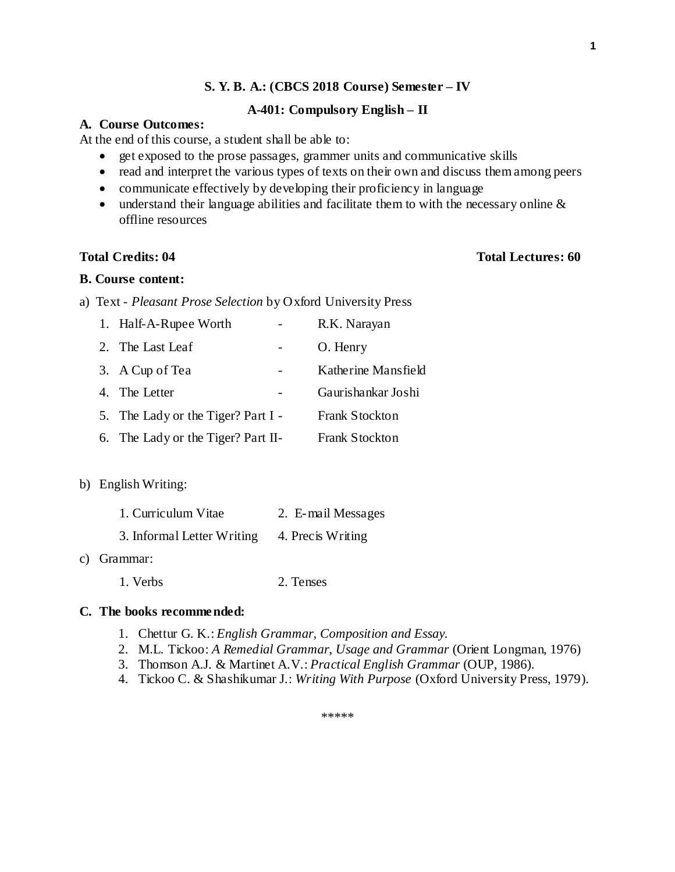#### **A-401: Compulsory English – II**

# **A. Course Outcomes:**

At the end of this course, a student shall be able to:

- get exposed to the prose passages, grammer units and communicative skills
- read and interpret the various types of texts on their own and discuss them among peers
- communicate effectively by developing their proficiency in language
- understand their language abilities and facilitate them to with the necessary online & offline resources

#### **Total Credits: 04 Total Lectures: 60**

#### **B. Course content:**

a) Text - *Pleasant Prose Selection* by Oxford University Press

| 1. Half-A-Rupee Worth              |  | R.K. Narayan          |
|------------------------------------|--|-----------------------|
| 2. The Last Leaf                   |  | O. Henry              |
| 3. A Cup of Tea                    |  | Katherine Mansfield   |
| 4. The Letter                      |  | Gaurishankar Joshi    |
| 5. The Lady or the Tiger? Part I - |  | <b>Frank Stockton</b> |
| 6. The Lady or the Tiger? Part II- |  | <b>Frank Stockton</b> |

#### b) English Writing:

| 1. Curriculum Vitae        | 2. E-mail Messages |
|----------------------------|--------------------|
| 3. Informal Letter Writing | 4. Precis Writing  |

#### c) Grammar:

1. Verbs 2. Tenses

#### **C. The books recommended:**

- 1. Chettur G. K.: *English Grammar, Composition and Essay.*
- 2. M.L. Tickoo: *A Remedial Grammar, Usage and Grammar* (Orient Longman, 1976)
- 3. Thomson A.J. & Martinet A.V.: *Practical English Grammar* (OUP, 1986).
- 4. Tickoo C. & Shashikumar J.: *Writing With Purpose* (Oxford University Press, 1979).

**1**

\*\*\*\*\*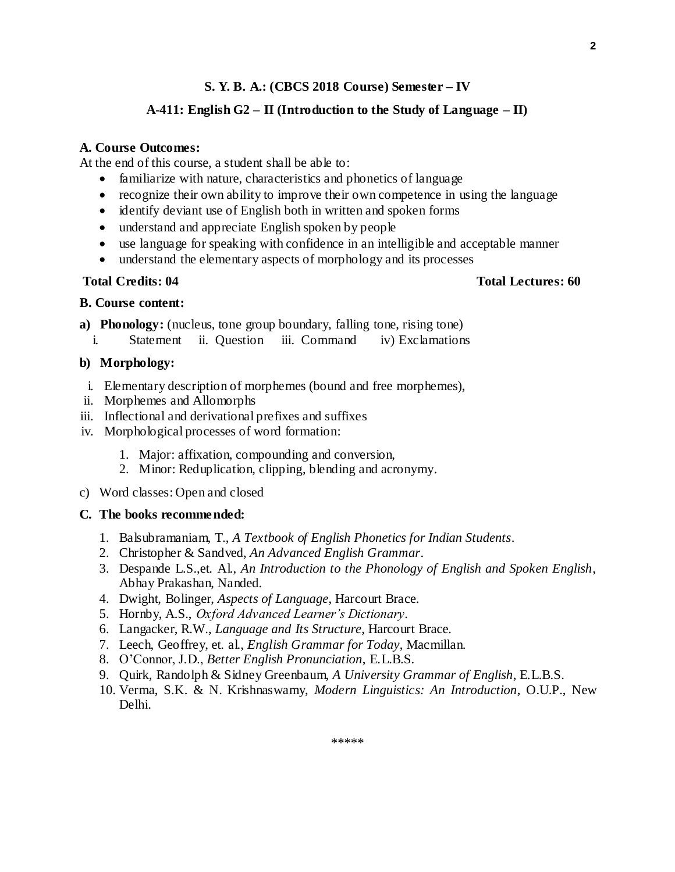# **A-411: English G2 – II (Introduction to the Study of Language – II)**

### **A. Course Outcomes:**

At the end of this course, a student shall be able to:

- familiarize with nature, characteristics and phonetics of language
- recognize their own ability to improve their own competence in using the language
- identify deviant use of English both in written and spoken forms
- understand and appreciate English spoken by people
- use language for speaking with confidence in an intelligible and acceptable manner
- understand the elementary aspects of morphology and its processes

#### **Total Credits: 04 Total Lectures: 60**

### **B. Course content:**

- **a) Phonology:** (nucleus, tone group boundary, falling tone, rising tone)
- i. Statement ii. Question iii. Command iv) Exclamations

#### **b) Morphology:**

- i. Elementary description of morphemes (bound and free morphemes),
- ii. Morphemes and Allomorphs
- iii. Inflectional and derivational prefixes and suffixes
- iv. Morphological processes of word formation:
	- 1. Major: affixation, compounding and conversion,
	- 2. Minor: Reduplication, clipping, blending and acronymy.
- c) Word classes: Open and closed

#### **C. The books recommended:**

- 1. Balsubramaniam, T., *A Textbook of English Phonetics for Indian Students*.
- 2. Christopher & Sandved, *An Advanced English Grammar*.
- 3. Despande L.S.,et. Al., *An Introduction to the Phonology of English and Spoken English*, Abhay Prakashan, Nanded.
- 4. Dwight, Bolinger, *Aspects of Language*, Harcourt Brace.
- 5. Hornby, A.S., *Oxford Advanced Learner's Dictionary*.
- 6. Langacker, R.W., *Language and Its Structure*, Harcourt Brace.
- 7. Leech, Geoffrey, et. al., *English Grammar for Today*, Macmillan.
- 8. O'Connor, J.D., *Better English Pronunciation*, E.L.B.S.
- 9. Quirk, Randolph & Sidney Greenbaum, *A University Grammar of English*, E.L.B.S.
- 10. Verma, S.K. & N. Krishnaswamy, *Modern Linguistics: An Introduction*, O.U.P., New Delhi.

**2**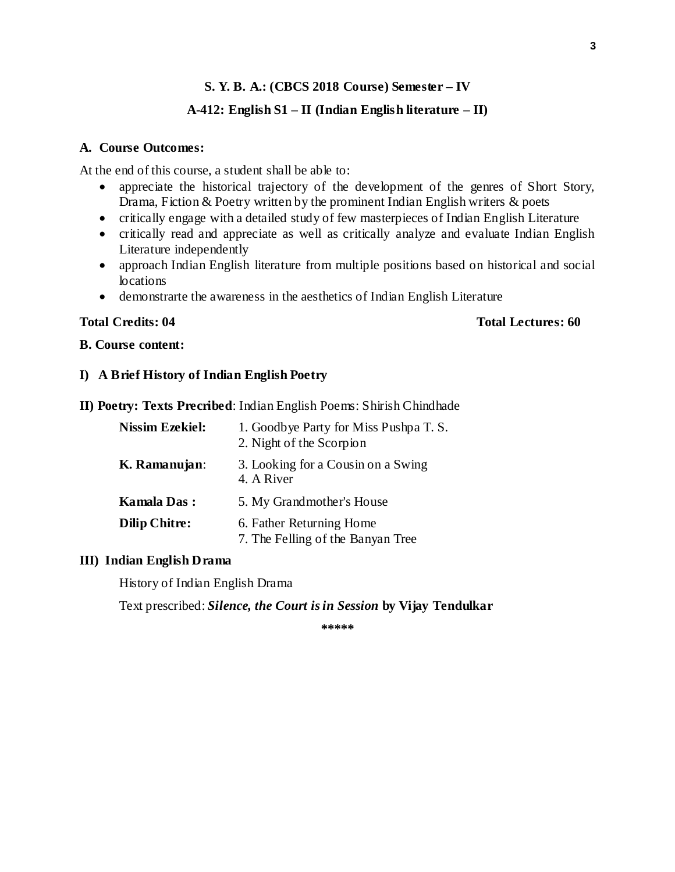# **A-412: English S1 – II (Indian English literature – II)**

#### **A. Course Outcomes:**

At the end of this course, a student shall be able to:

- appreciate the historical trajectory of the development of the genres of Short Story, Drama, Fiction & Poetry written by the prominent Indian English writers & poets
- critically engage with a detailed study of few masterpieces of Indian English Literature
- critically read and appreciate as well as critically analyze and evaluate Indian English Literature independently
- approach Indian English literature from multiple positions based on historical and social locations
- demonstrarte the awareness in the aesthetics of Indian English Literature

#### **Total Credits: 04 Total Lectures: 60**

#### **B. Course content:**

### **I) A Brief History of Indian English Poetry**

**II) Poetry: Texts Precribed**: Indian English Poems: Shirish Chindhade

| <b>Nissim Ezekiel:</b> | 1. Goodbye Party for Miss Pushpa T. S.<br>2. Night of the Scorpion |
|------------------------|--------------------------------------------------------------------|
| K. Ramanujan:          | 3. Looking for a Cousin on a Swing<br>4. A River                   |
| <b>Kamala Das:</b>     | 5. My Grandmother's House                                          |
| <b>Dilip Chitre:</b>   | 6. Father Returning Home<br>7. The Felling of the Banyan Tree      |

### **III) Indian English Drama**

History of Indian English Drama

Text prescribed: *Silence, the Court is in Session* **by Vijay Tendulkar**

**\*\*\*\*\***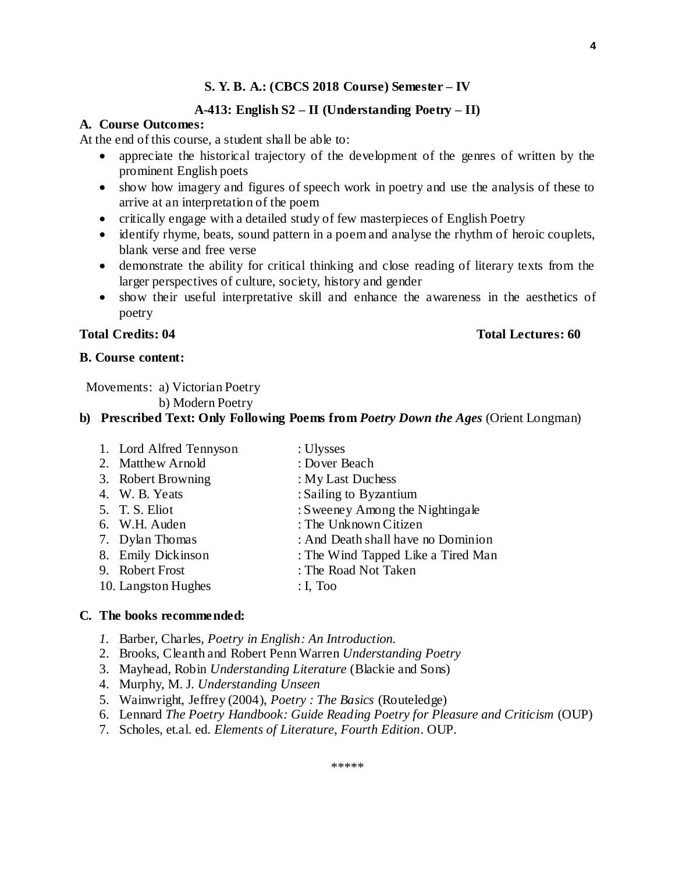#### **A-413: English S2 – II (Understanding Poetry – II)**

#### **A. Course Outcomes:**

At the end of this course, a student shall be able to:

- appreciate the historical trajectory of the development of the genres of written by the prominent English poets
- show how imagery and figures of speech work in poetry and use the analysis of these to arrive at an interpretation of the poem
- critically engage with a detailed study of few masterpieces of English Poetry
- identify rhyme, beats, sound pattern in a poem and analyse the rhythm of heroic couplets, blank verse and free verse
- demonstrate the ability for critical thinking and close reading of literary texts from the larger perspectives of culture, society, history and gender
- show their useful interpretative skill and enhance the awareness in the aesthetics of poetry

#### **B. Course content:**

Movements: a) Victorian Poetry

b) Modern Poetry

## **b) Prescribed Text: Only Following Poems from** *Poetry Down the Ages* (Orient Longman)

1. Lord Alfred Tennyson : Ulysses 2. Matthew Arnold : Dover Beach 3. Robert Browning : My Last Duchess 4. W. B. Yeats : Sailing to Byzantium 5. T. S. Eliot : Sweeney Among the Nightingale 6. W.H. Auden : The Unknown Citizen 7. Dylan Thomas : And Death shall have no Dominion 8. Emily Dickinson : The Wind Tapped Like a Tired Man 9. Robert Frost : The Road Not Taken 10. Langston Hughes : I, Too

#### **C. The books recommended:**

- *1.* Barber, Charles, *Poetry in English: An Introduction.*
- 2. Brooks, Cleanth and Robert Penn Warren *Understanding Poetry*
- 3. Mayhead, Robin *Understanding Literature* (Blackie and Sons)
- 4. Murphy, M. J. *Understanding Unseen*
- 5. Wainwright, Jeffrey (2004), *Poetry : The Basics* (Routeledge)
- 6. Lennard *The Poetry Handbook: Guide Reading Poetry for Pleasure and Criticism* (OUP)

\*\*\*\*\*

7. Scholes, et.al. ed. *Elements of Literature, Fourth Edition*. OUP.

# **Total Credits: 04 Total Lectures: 60**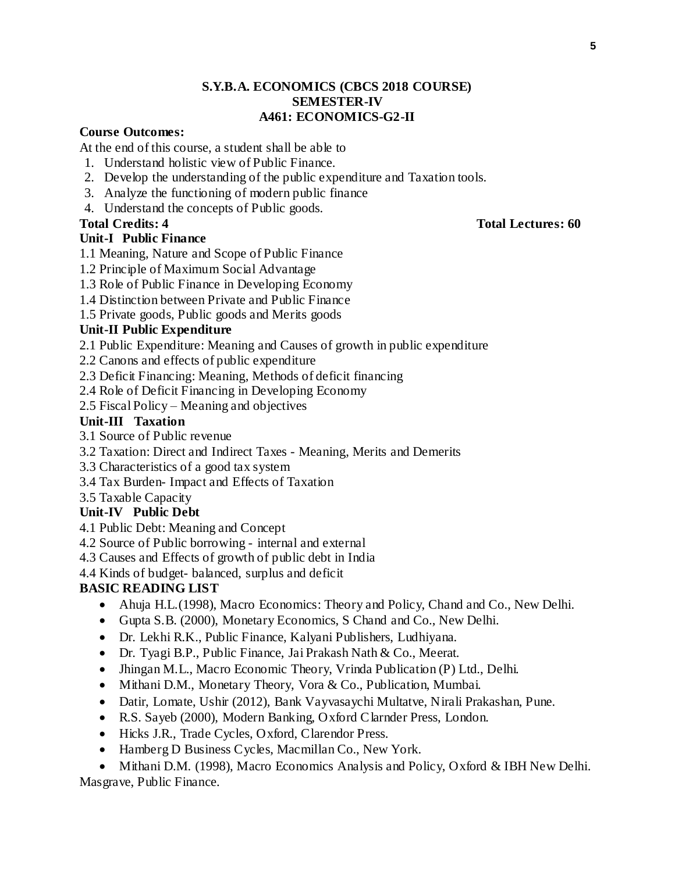# **S.Y.B.A. ECONOMICS (CBCS 2018 COURSE) SEMESTER-IV A461: ECONOMICS-G2-II**

#### **Course Outcomes:**

At the end of this course, a student shall be able to

- 1. Understand holistic view of Public Finance.
- 2. Develop the understanding of the public expenditure and Taxation tools.
- 3. Analyze the functioning of modern public finance
- 4. Understand the concepts of Public goods.

# **Unit-I Public Finance**

- 1.1 Meaning, Nature and Scope of Public Finance
- 1.2 Principle of Maximum Social Advantage
- 1.3 Role of Public Finance in Developing Economy
- 1.4 Distinction between Private and Public Finance
- 1.5 Private goods, Public goods and Merits goods

#### **Unit-II Public Expenditure**

- 2.1 Public Expenditure: Meaning and Causes of growth in public expenditure
- 2.2 Canons and effects of public expenditure
- 2.3 Deficit Financing: Meaning, Methods of deficit financing
- 2.4 Role of Deficit Financing in Developing Economy
- 2.5 Fiscal Policy Meaning and objectives

# **Unit-III Taxation**

- 3.1 Source of Public revenue
- 3.2 Taxation: Direct and Indirect Taxes Meaning, Merits and Demerits
- 3.3 Characteristics of a good tax system
- 3.4 Tax Burden- Impact and Effects of Taxation
- 3.5 Taxable Capacity

### **Unit-IV Public Debt**

- 4.1 Public Debt: Meaning and Concept
- 4.2 Source of Public borrowing internal and external
- 4.3 Causes and Effects of growth of public debt in India
- 4.4 Kinds of budget- balanced, surplus and deficit

# **BASIC READING LIST**

- Ahuja H.L.(1998), Macro Economics: Theory and Policy, Chand and Co., New Delhi.
- Gupta S.B. (2000), Monetary Economics, S Chand and Co., New Delhi.
- Dr. Lekhi R.K., Public Finance, Kalyani Publishers, Ludhiyana.
- Dr. Tyagi B.P., Public Finance, Jai Prakash Nath & Co., Meerat.
- Jhingan M.L., Macro Economic Theory, Vrinda Publication (P) Ltd., Delhi.
- Mithani D.M., Monetary Theory, Vora & Co., Publication, Mumbai.
- Datir, Lomate, Ushir (2012), Bank Vayvasaychi Multatve, Nirali Prakashan, Pune.
- R.S. Sayeb (2000), Modern Banking, Oxford Clarnder Press, London.
- Hicks J.R., Trade Cycles, Oxford, Clarendor Press.
- Hamberg D Business Cycles, Macmillan Co., New York.

• Mithani D.M. (1998), Macro Economics Analysis and Policy, Oxford & IBH New Delhi. Masgrave, Public Finance.

### **Total Credits: 4 Total Lectures: 60**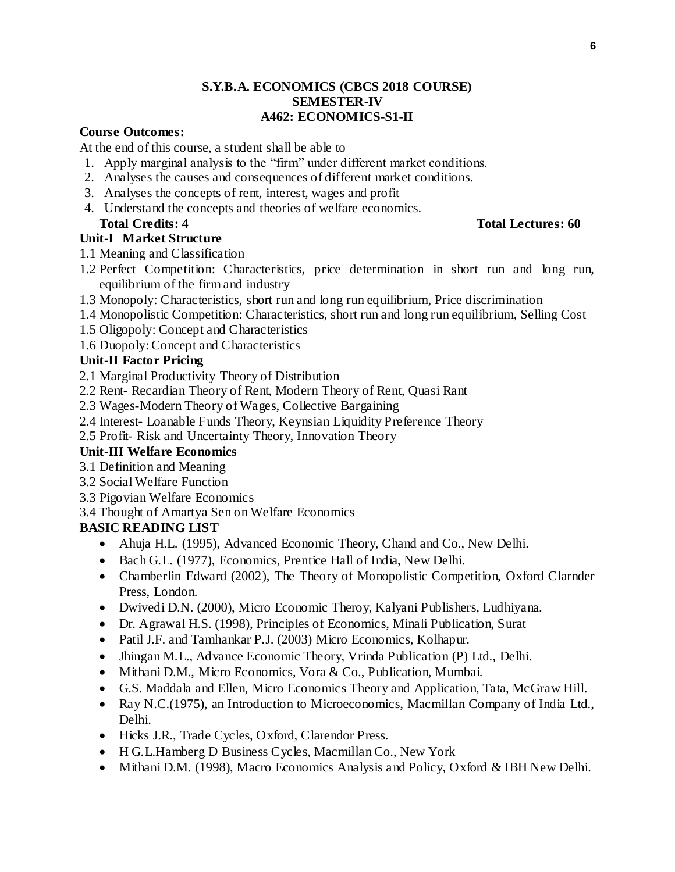# **S.Y.B.A. ECONOMICS (CBCS 2018 COURSE) SEMESTER-IV A462: ECONOMICS-S1-II**

#### **Course Outcomes:**

At the end of this course, a student shall be able to

- 1. Apply marginal analysis to the "firm" under different market conditions.
- 2. Analyses the causes and consequences of different market conditions.
- 3. Analyses the concepts of rent, interest, wages and profit
- 4. Understand the concepts and theories of welfare economics. **Total Credits: 4 Total Lectures: 60**

# **Unit-I Market Structure**

- 1.1 Meaning and Classification
- 1.2 Perfect Competition: Characteristics, price determination in short run and long run, equilibrium of the firm and industry
- 1.3 Monopoly: Characteristics, short run and long run equilibrium, Price discrimination
- 1.4 Monopolistic Competition: Characteristics, short run and long run equilibrium, Selling Cost
- 1.5 Oligopoly: Concept and Characteristics
- 1.6 Duopoly: Concept and Characteristics

# **Unit-II Factor Pricing**

- 2.1 Marginal Productivity Theory of Distribution
- 2.2 Rent- Recardian Theory of Rent, Modern Theory of Rent, Quasi Rant
- 2.3 Wages-Modern Theory of Wages, Collective Bargaining
- 2.4 Interest- Loanable Funds Theory, Keynsian Liquidity Preference Theory

2.5 Profit- Risk and Uncertainty Theory, Innovation Theory

# **Unit-III Welfare Economics**

- 3.1 Definition and Meaning
- 3.2 Social Welfare Function
- 3.3 Pigovian Welfare Economics

3.4 Thought of Amartya Sen on Welfare Economics

# **BASIC READING LIST**

- Ahuja H.L. (1995), Advanced Economic Theory, Chand and Co., New Delhi.
- Bach G.L. (1977), Economics, Prentice Hall of India, New Delhi.
- Chamberlin Edward (2002), The Theory of Monopolistic Competition, Oxford Clarnder Press, London.
- Dwivedi D.N. (2000), Micro Economic Theroy, Kalyani Publishers, Ludhiyana.
- Dr. Agrawal H.S. (1998), Principles of Economics, Minali Publication, Surat
- Patil J.F. and Tamhankar P.J. (2003) Micro Economics, Kolhapur.
- Jhingan M.L., Advance Economic Theory, Vrinda Publication (P) Ltd., Delhi.
- Mithani D.M., Micro Economics, Vora & Co., Publication, Mumbai.
- G.S. Maddala and Ellen, Micro Economics Theory and Application, Tata, McGraw Hill.
- Ray N.C.(1975), an Introduction to Microeconomics, Macmillan Company of India Ltd., Delhi.
- Hicks J.R., Trade Cycles, Oxford, Clarendor Press.
- H G.L.Hamberg D Business Cycles, Macmillan Co., New York
- Mithani D.M. (1998), Macro Economics Analysis and Policy, Oxford & IBH New Delhi.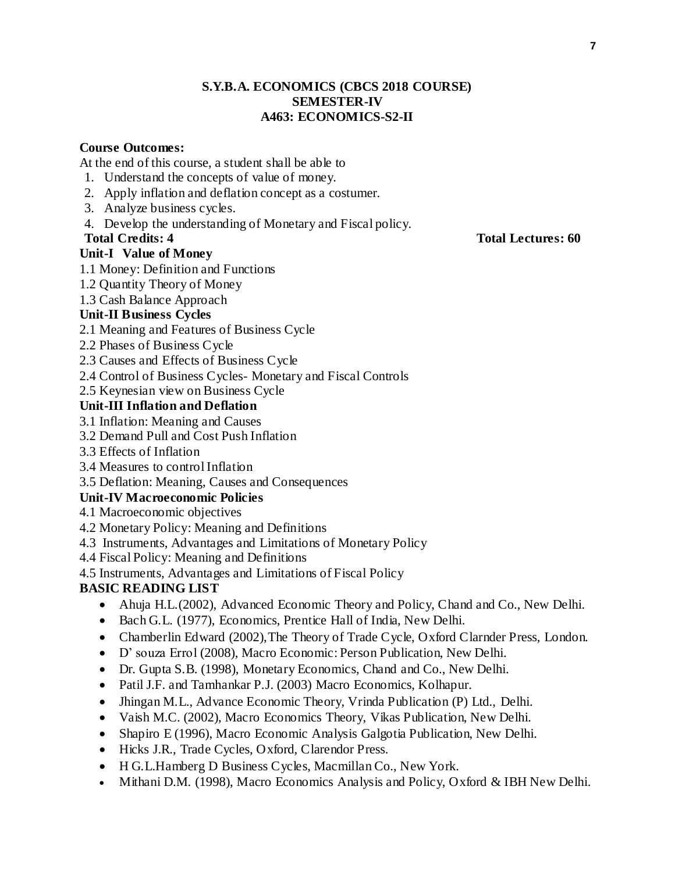## **S.Y.B.A. ECONOMICS (CBCS 2018 COURSE) SEMESTER-IV A463: ECONOMICS-S2-II**

# **Course Outcomes:**

At the end of this course, a student shall be able to

- 1. Understand the concepts of value of money.
- 2. Apply inflation and deflation concept as a costumer.
- 3. Analyze business cycles.
- 4. Develop the understanding of Monetary and Fiscal policy.

# **Unit-I Value of Money**

- 1.1 Money: Definition and Functions
- 1.2 Quantity Theory of Money
- 1.3 Cash Balance Approach

# **Unit-II Business Cycles**

- 2.1 Meaning and Features of Business Cycle
- 2.2 Phases of Business Cycle
- 2.3 Causes and Effects of Business Cycle
- 2.4 Control of Business Cycles- Monetary and Fiscal Controls
- 2.5 Keynesian view on Business Cycle

# **Unit-III Inflation and Deflation**

- 3.1 Inflation: Meaning and Causes
- 3.2 Demand Pull and Cost Push Inflation
- 3.3 Effects of Inflation
- 3.4 Measures to control Inflation
- 3.5 Deflation: Meaning, Causes and Consequences

# **Unit-IV Macroeconomic Policies**

- 4.1 Macroeconomic objectives
- 4.2 Monetary Policy: Meaning and Definitions
- 4.3 Instruments, Advantages and Limitations of Monetary Policy
- 4.4 Fiscal Policy: Meaning and Definitions
- 4.5 Instruments, Advantages and Limitations of Fiscal Policy

# **BASIC READING LIST**

- Ahuja H.L.(2002), Advanced Economic Theory and Policy, Chand and Co., New Delhi.
- Bach G.L. (1977), Economics, Prentice Hall of India, New Delhi.
- Chamberlin Edward (2002), The Theory of Trade Cycle, Oxford Clarnder Press, London.
- D' souza Errol (2008), Macro Economic: Person Publication, New Delhi.
- Dr. Gupta S.B. (1998), Monetary Economics, Chand and Co., New Delhi.
- Patil J.F. and Tamhankar P.J. (2003) Macro Economics, Kolhapur.
- Jhingan M.L., Advance Economic Theory, Vrinda Publication (P) Ltd., Delhi.
- Vaish M.C. (2002), Macro Economics Theory, Vikas Publication, New Delhi.
- Shapiro E (1996), Macro Economic Analysis Galgotia Publication, New Delhi.
- Hicks J.R., Trade Cycles, Oxford, Clarendor Press.
- H G.L.Hamberg D Business Cycles, Macmillan Co., New York.
- Mithani D.M. (1998), Macro Economics Analysis and Policy, Oxford & IBH New Delhi.

# **Total Credits: 4 Total Lectures: 60**